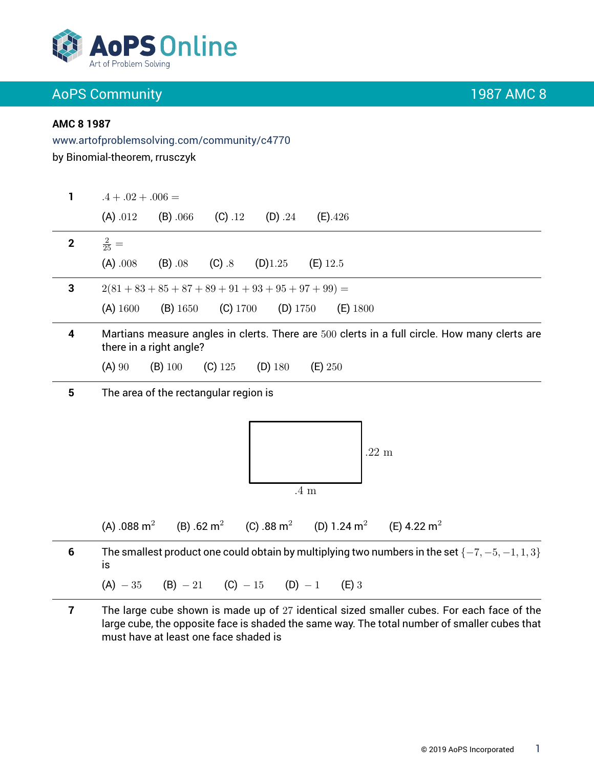

### **AMC 8 1987**

 $\overline{\phantom{0}}$ 

L.

### www.artofproblemsolving.com/community/c4770

by Binomial-theorem, rrusczyk

| 1           | $.4 + .02 + .006 =$                                                                                                      |
|-------------|--------------------------------------------------------------------------------------------------------------------------|
|             | (A) .012<br>(C) .12<br>(D) .24<br>(B) .066<br>$(E)$ .426                                                                 |
| $\mathbf 2$ | $rac{2}{25}$ =                                                                                                           |
|             | (A) .008<br>$(C)$ .8<br>(D)1.25<br>$(B)$ .08<br>$(E)$ 12.5                                                               |
| 3           | $2(81+83+85+87+89+91+93+95+97+99) =$                                                                                     |
|             | $(C)$ 1700<br>(D) 1750<br>$(A)$ 1600<br>$(B)$ 1650<br>$(E)$ 1800                                                         |
| 4           | Martians measure angles in clerts. There are 500 clerts in a full circle. How many clerts are<br>there in a right angle? |
|             | (A) 90<br>$(B)$ 100<br>$(C)$ 125<br>$(D)$ 180<br>(E) 250                                                                 |
| 5           | The area of the rectangular region is                                                                                    |
|             | $.22 \text{ m}$<br>$.4\text{ }\mathrm{m}$                                                                                |
|             | (B) .62 m <sup>2</sup> (C) .88 m <sup>2</sup> (D) 1.24 m <sup>2</sup> (E) 4.22 m <sup>2</sup><br>(A) .088 m <sup>2</sup> |
| 6           | The smallest product one could obtain by multiplying two numbers in the set $\{-7, -5, -1, 1, 3\}$<br>is                 |
|             | $(A) - 35$ $(B) - 21$ $(C) - 15$ $(D) - 1$<br>$(E)$ 3                                                                    |
| 7           | The large cube shown is made up of 27 identical sized smaller cubes. For each face of the                                |

**7** The large cube shown is made up of 27 identical sized smaller cubes. For each face of the large cube, the opposite face is shaded the same way. The total number of smaller cubes that must have at least one face shaded is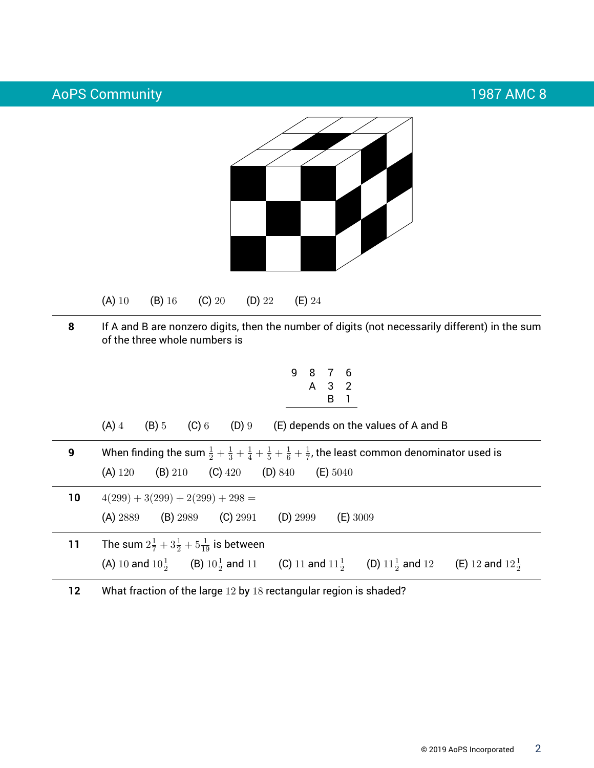

(A) 10 (B) 16 (C) 20 (D) 22 (E) 24

**8** If A and B are nonzero digits, then the number of digits (not necessarily different) in the sum of the three whole numbers is

$$
\begin{array}{cccc}\n9 & 8 & 7 & 6 \\
& A & 3 & 2 \\
& & B & 1\n\end{array}
$$

(A)  $4$  (B)  $5$  (C)  $6$  (D)  $9$  (E) depends on the values of A and B

**9** When finding the sum  $\frac{1}{2} + \frac{1}{3} + \frac{1}{4} + \frac{1}{5} + \frac{1}{6} + \frac{1}{7}$  $\frac{1}{7}$ , the least common denominator used is (A) 120 (B) 210 (C) 420 (D) 840 (E) 5040

| 10 | $4(299) + 3(299) + 2(299) + 298 =$                               |            |                            |            |                              |                            |  |  |  |
|----|------------------------------------------------------------------|------------|----------------------------|------------|------------------------------|----------------------------|--|--|--|
|    | (A) 2889                                                         | $(B)$ 2989 | $(C)$ 2991                 | $(D)$ 2999 | $(E)$ 3009                   |                            |  |  |  |
| 11 | The sum $2\frac{1}{7} + 3\frac{1}{2} + 5\frac{1}{10}$ is between |            |                            |            |                              |                            |  |  |  |
|    | (B) $10\frac{1}{2}$ and 11<br>(A) 10 and $10\frac{1}{2}$         |            | (C) 11 and $11\frac{1}{2}$ |            | (D) $11\frac{1}{2}$ and $12$ | (E) 12 and $12\frac{1}{2}$ |  |  |  |

**12** What fraction of the large 12 by 18 rectangular region is shaded?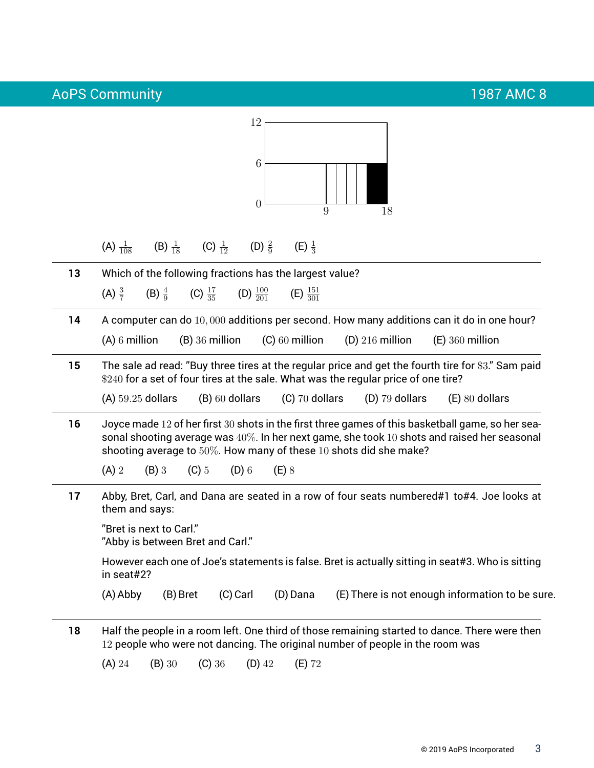| (A) $\frac{1}{108}$<br>13<br>(A) $\frac{3}{7}$<br>14<br>15<br>16<br>$(A)$ 2<br>17 | (B) $\frac{4}{9}$<br>$(A)$ 6 million                                                                            | (B) $\frac{1}{18}$ (C) $\frac{1}{12}$ (D) $\frac{2}{9}$<br>Which of the following fractions has the largest value?<br>$(B)$ 36 million | (C) $\frac{17}{35}$ (D) $\frac{100}{201}$<br>(B) 60 dollars | $(E) \frac{1}{3}$<br>(E) $\frac{151}{301}$<br>$(C)$ 60 million<br>(C) 70 dollars |  | (D) $216$ million<br>\$240 for a set of four tires at the sale. What was the regular price of one tire? |  | A computer can do 10,000 additions per second. How many additions can it do in one hour?<br>$(E)$ 360 million<br>The sale ad read: "Buy three tires at the regular price and get the fourth tire for \$3." Sam paid |
|-----------------------------------------------------------------------------------|-----------------------------------------------------------------------------------------------------------------|----------------------------------------------------------------------------------------------------------------------------------------|-------------------------------------------------------------|----------------------------------------------------------------------------------|--|---------------------------------------------------------------------------------------------------------|--|---------------------------------------------------------------------------------------------------------------------------------------------------------------------------------------------------------------------|
|                                                                                   |                                                                                                                 |                                                                                                                                        |                                                             |                                                                                  |  |                                                                                                         |  |                                                                                                                                                                                                                     |
|                                                                                   |                                                                                                                 |                                                                                                                                        |                                                             |                                                                                  |  |                                                                                                         |  |                                                                                                                                                                                                                     |
|                                                                                   |                                                                                                                 |                                                                                                                                        |                                                             |                                                                                  |  |                                                                                                         |  |                                                                                                                                                                                                                     |
|                                                                                   |                                                                                                                 |                                                                                                                                        |                                                             |                                                                                  |  |                                                                                                         |  |                                                                                                                                                                                                                     |
|                                                                                   |                                                                                                                 |                                                                                                                                        |                                                             |                                                                                  |  |                                                                                                         |  |                                                                                                                                                                                                                     |
|                                                                                   | $(A)$ 59.25 dollars                                                                                             |                                                                                                                                        |                                                             |                                                                                  |  | $(D)$ 79 dollars                                                                                        |  | $(E)$ 80 dollars                                                                                                                                                                                                    |
|                                                                                   |                                                                                                                 |                                                                                                                                        |                                                             |                                                                                  |  | shooting average to 50%. How many of these 10 shots did she make?                                       |  | Joyce made 12 of her first 30 shots in the first three games of this basketball game, so her sea-<br>sonal shooting average was $40\%$ . In her next game, she took 10 shots and raised her seasonal                |
|                                                                                   | $(B)$ 3                                                                                                         | $(C)$ 5                                                                                                                                | $(D)$ 6                                                     | $(E)$ 8                                                                          |  |                                                                                                         |  |                                                                                                                                                                                                                     |
|                                                                                   | them and says:                                                                                                  |                                                                                                                                        |                                                             |                                                                                  |  |                                                                                                         |  | Abby, Bret, Carl, and Dana are seated in a row of four seats numbered#1 to#4. Joe looks at                                                                                                                          |
|                                                                                   | "Bret is next to Carl."<br>"Abby is between Bret and Carl."                                                     |                                                                                                                                        |                                                             |                                                                                  |  |                                                                                                         |  |                                                                                                                                                                                                                     |
|                                                                                   | However each one of Joe's statements is false. Bret is actually sitting in seat#3. Who is sitting<br>in seat#2? |                                                                                                                                        |                                                             |                                                                                  |  |                                                                                                         |  |                                                                                                                                                                                                                     |
| (A) Abby                                                                          |                                                                                                                 | (B) Bret                                                                                                                               | (C) Carl                                                    | (D) Dana                                                                         |  |                                                                                                         |  | (E) There is not enough information to be sure.                                                                                                                                                                     |
| 18                                                                                |                                                                                                                 |                                                                                                                                        |                                                             |                                                                                  |  | 12 people who were not dancing. The original number of people in the room was                           |  | Half the people in a room left. One third of those remaining started to dance. There were then                                                                                                                      |
| (A) 24                                                                            |                                                                                                                 |                                                                                                                                        |                                                             |                                                                                  |  |                                                                                                         |  |                                                                                                                                                                                                                     |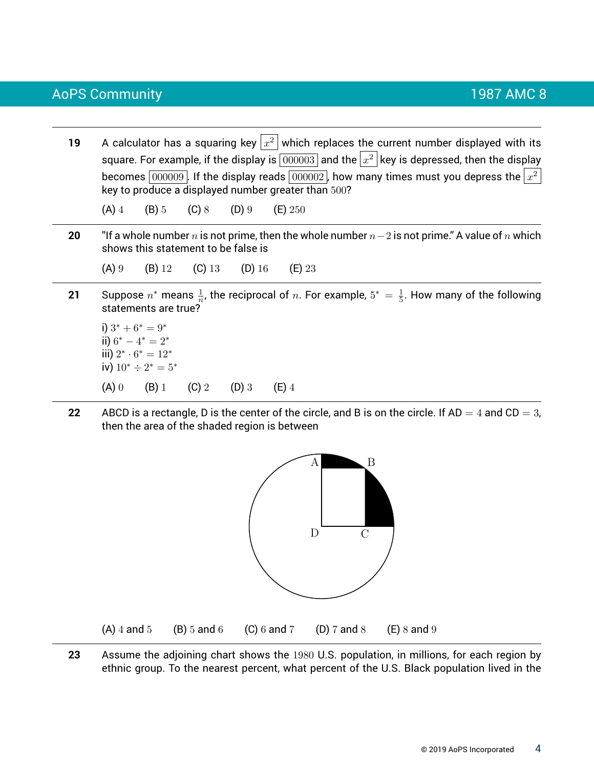- **19** A calculator has a squaring key  $|x^2|$  which replaces the current number displayed with its square. For example, if the display is  $\boxed{000003}$  and the  $\left|x^2\right|$  key is depressed, then the display becomes  $\overline{|000009|}$ . If the display reads  $\overline{|000002|}$ , how many times must you depress the  $\left\vert x^{2}\right\rangle$ key to produce a displayed number greater than 500? (A) 4 (B) 5 (C) 8 (D) 9 (E) 250 **20** "If a whole number n is not prime, then the whole number n−2 is not prime." A value of n which shows this statement to be false is (A) 9 (B) 12 (C) 13 (D) 16 (E) 23 **21** Suppose  $n^*$  means  $\frac{1}{n}$ , the reciprocal of  $n$ . For example,  $5^* = \frac{1}{5}$  $\frac{1}{5}$ . How many of the following statements are true? i)  $3^* + 6^* = 9^*$ ii)  $6^* - 4^* = 2^*$ iii)  $2^* \cdot 6^* = 12^*$ 
	- iv)  $10^* \div 2^* = 5^*$ (A) 0 (B) 1 (C) 2 (D) 3 (E) 4
- **22** ABCD is a rectangle, D is the center of the circle, and B is on the circle. If  $AD = 4$  and  $CD = 3$ , then the area of the shaded region is between



**23** Assume the adjoining chart shows the 1980 U.S. population, in millions, for each region by ethnic group. To the nearest percent, what percent of the U.S. Black population lived in the